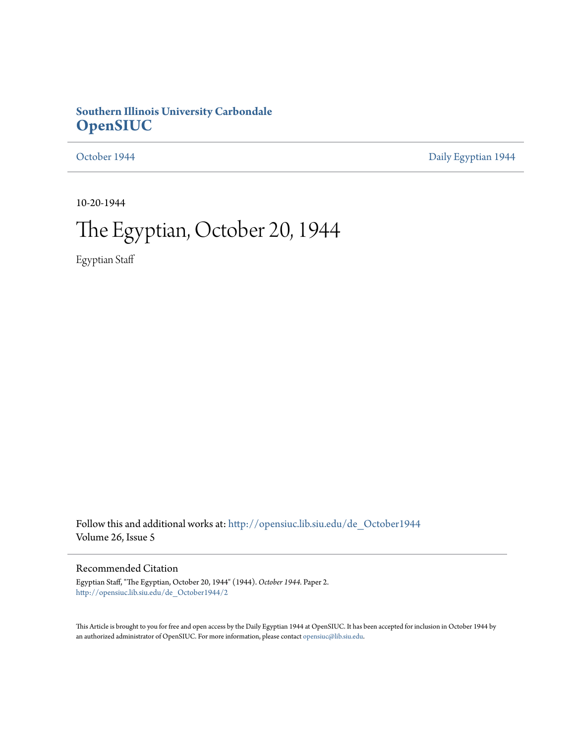## **Southern Illinois University Carbondale [OpenSIUC](http://opensiuc.lib.siu.edu?utm_source=opensiuc.lib.siu.edu%2Fde_October1944%2F2&utm_medium=PDF&utm_campaign=PDFCoverPages)**

[October 1944](http://opensiuc.lib.siu.edu/de_October1944?utm_source=opensiuc.lib.siu.edu%2Fde_October1944%2F2&utm_medium=PDF&utm_campaign=PDFCoverPages) **[Daily Egyptian 1944](http://opensiuc.lib.siu.edu/de_1944?utm_source=opensiuc.lib.siu.edu%2Fde_October1944%2F2&utm_medium=PDF&utm_campaign=PDFCoverPages)** 

10-20-1944

# The Egyptian, October 20, 1944

Egyptian Staff

Follow this and additional works at: [http://opensiuc.lib.siu.edu/de\\_October1944](http://opensiuc.lib.siu.edu/de_October1944?utm_source=opensiuc.lib.siu.edu%2Fde_October1944%2F2&utm_medium=PDF&utm_campaign=PDFCoverPages) Volume 26, Issue 5

## Recommended Citation

Egyptian Staff, "The Egyptian, October 20, 1944" (1944). *October 1944.* Paper 2. [http://opensiuc.lib.siu.edu/de\\_October1944/2](http://opensiuc.lib.siu.edu/de_October1944/2?utm_source=opensiuc.lib.siu.edu%2Fde_October1944%2F2&utm_medium=PDF&utm_campaign=PDFCoverPages)

This Article is brought to you for free and open access by the Daily Egyptian 1944 at OpenSIUC. It has been accepted for inclusion in October 1944 by an authorized administrator of OpenSIUC. For more information, please contact [opensiuc@lib.siu.edu.](mailto:opensiuc@lib.siu.edu)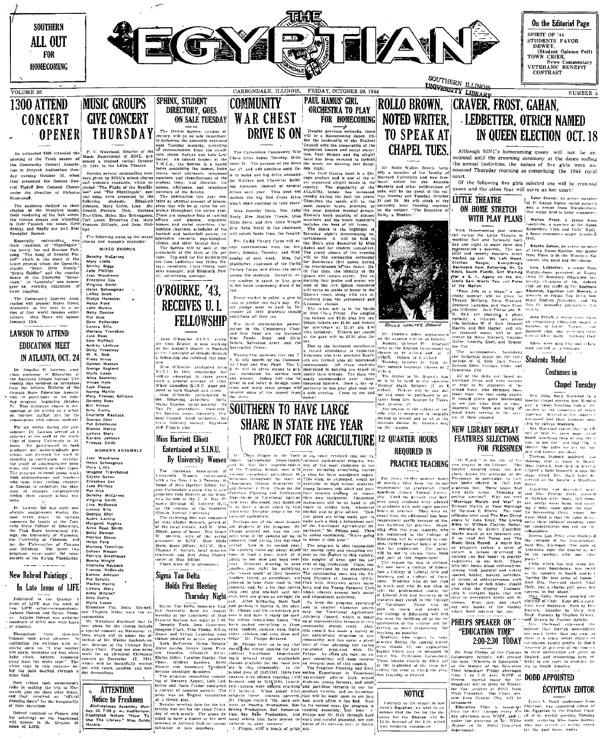

tion in Shryock Auditorium Mon-

tion in Shropsk Andirelian Mon-13. The animalism control is the state of the property presented the formula control in the property of the property research that is the property of the state of the property of the state o

Spanish Banner. The following make English Banner and women's chosen in the level of the level of the level of the level of the level of the level of the level of the level of the level of the level of the level of the le nife juggling.

The Community Concert Association will present Helen Howe,<br>dramatist, as the next in a service of four world (annous entrines)<br>tainers. Miss Howe will appear<br>tainers. Miss Howe will appear<br>January 15th.

**LAWSON TO ATTEND EDUCATION MEET** IN ATLANTA, OCT. 24

 $\begin{tabular}{p{0.85cm}}p{1.5cm} & D1.68 & E1.68 & E2.59 & E3.59\\ \hline \textbf{1.0} & D1.69 & E4.68 & E5.59 & E7.59 & E8.59 & E7.59 & E8.59 & E7.59 & E8.59 & E9.59 & E9.59 & E9.59 & E9.59 & E9.59 & E9.59 & E9.59 & E9.59 & E9.59 & E9.59 & E9.59 & E9.59 & E9.59 & E9.59 & E9.59 & E9.59 & E9.59 & E9.59 &$ 

consulations with columns such that such that the most remains the most proposed of the star model in a month of the star in the branch of the star model is a model of the star model in the star model is a model in the st

 $\begin{tabular}{l|c|c|c|c} $1095$ & $109$ & $109$ & $109$ & $109$ & $109$ \\ \hline $100$ & $109$ & $109$ & $109$ & $109$ & $109$ \\ \hline $100$ & $109$ & $109$ & $109$ & $109$ & $109$ \\ \hline $1000$ & $109$ & $109$ & $109$ & $109$ & $109$ & $109$ \\ \hline $1000$ & $109$ & $1090$ & $1090$ & $109$ & $109$ \\ \$ 

In Late Issue of LIFE!

**III** Later and the celebral in the celebral particle of the state of LIFE was the work of  $M_{\text{F}}$  and  $M_{\text{F}}$  and  $M_{\text{F}}$  are celebral in the celebral of the state of the state of the state of the state of the stat

Throughout their please is a precise constant on November 1.<br>
Throughout the relations of the state of the state of the state in<br>Figure . The state of the state of the state of the state<br> $\frac{1}{2}$  and the state of the sta

Both artists risks in making the trip to Nor-<br>mandy just six days after D-day,<br>and they received an "official<br>alreshig down" for the friegularity<br>of their excursion.

Bohrod returned to France,<br>is paintings on the beach!<br>ill appear in the October<br>sue of LiFE.

OPENER THURSDAY

The following make up ensemble

MIXED CHORUS more of Marine Container<br>
Mary Little<br>
Shirley Biggs<br>
June Phillips<br>
June Phillips<br>
Ernestine Cox<br>
Virginia Smith<br>
Helen Schwegman<br>
Helen Schwegman<br>
LeRoy Scott

- sugar<br>Leady Scott<br>Giadys Hunsaker<br>Giadys Hunsaker<br>John Mulkin<br>Detty Duncan<br>Detty Duncan<br>Mariana Trovillion<br>John MePhail<br>John MePhail<br>Sam MePhail<br>Duncan Scotter<br>Dan MePhail<br>Addrey Lantrup<br>Addrey Lantrup

Audray Lamitur<br>Baisy Treadway<br>Caliser Treadway<br>Caliser Masson<br>Galiser Masson<br>Myria Leach<br>Myria Leach<br>Nivian Hyte<br>Norma Martin<br>Norma Martin<br>Dorothy Russ<br>Gina Cortis<br>Gina Cortis<br>Gina Cortis<br>Gina Cortis<br>Corothy Russ<br>Cina Cort Gillison

Georgia Gher<br>Pat Greathouse<br>Maxine Harcu Maxine Harris<br>LaVera Story<br>Earlene Johnso<br>Frances Smith Stary<br>Johnson

WOMEN'S ENSEMBLE Women's ERSE<br>
Helen Schwegman<br>
Mary Little<br>
Mary Little<br>
Imagene Travelstead<br>
Ernestine Gox<br>
Structure Philips<br>
Pat Dick<br>
Virginia Smith<br>
Virginia Smith<br>
Little Mars Sills<br>
Little Mars Sills

Lenora Sill Lenora Silis<br>Georgia Gher<br>Audre Lantrip<br>Margaret Hughes<br>Sitty Duncan<br>Patricia Stover<br>Helen Ford<br>Mariana Trovillion<br>Alena Trovillion Mariana Trovillion<br>Colient Wasson<br>Patricia Greatheuse<br>Bonitia Wright<br>Bonitis Rauback<br>Frances McDonald<br>Pat Sehuitz<br>Maxime Harts<br>Maxime Harts<br>Maxime Harts<br>Bitte Mitchell<br>Bitte Mitchell<br>Bitte Mitchell<br>Bitte Mitchell

## New Bohrod Paintings .

also<br>Chri<br>12,



All-Freshman Assembly More<br>day, 23, 7:00 p. m., Auditorium<br>Illustrated Resture "How T day, 23, 7:00 p. m., Auditorium.<br>Illustrated Resture "How To<br>Use The Library," Miss Golda

WAR CHEST **ON SALE TUESDAY** 

**ON SALE TUESDAY**<br>
The 1944-14 Signing difference of the spin state in the spin state in the same of the same of the same of the spin state in the code of an operator from the code of the spin state in the code of the spi

hooses and social societies. University of the loopest and scale both and has<br>leader in the social state of the population of the population of<br>comparison of the social state of the social state of<br>the social state of the

**Every** 

Ledbetter and Helen Ma rays, co-editors; Clara Pixley, has<br>tays, co-editors; Clara Pixley, has<br>tess manager; and Elizabeth Pov<br>ell, odvertising manager

O'ROURKE, '43,

## Miss Harriett Elliott

- program commuttee of the of Margery Appert, Lot better and Doris Crater contained at contract of

FOR HOMECOMING NOTED WRITER, **TO SPEAK AT** 

Mr. Rollo Walter Brown orly a member of the faculty of<br>Harvard University and now free-Atiantlo other publications be the guest of the col-<br>by and Tuesday. October<br>wy and Tuesday. October<br>bour Tuesday morning<br>bject. "The Romance of

The Carlos care of the second and the second and the second of the second second and the second of the second of the second of the second of the second of the second of the second of the second of the second of the second Stablisher, claiming of the CoFol lot Solutions 1914 questions of the state of the state of the state of the state of the state of the state of the state of the state of the state of the state of the state of the state of

lueco's court, alo<br>cudants from the

**CHERE CEIVES 1.** The proposal of the sake is given by an and the same of the continue of the continue of the continue of the same of the same of the continue of the continue of the continue of the continue of the continu

## pared in both English and minks and minks of the money of the money and primary in the contract of the contract of the money and the money and the contract of the contract of the contract of the money and  $\frac{1}{2}$  and  $\frac$ **SHARE IN STATE FIVE YEAR** PROJECT FOR AGRICULTURE 12 QUARTER HOURS

This Harries D. S. LETTER PARTICE TORN AGRICULTURE 12 QUARTER HOUSE TRATURES SEARCHES<br>
FULL TO THE MANUSCRIPT OF THE MANUSCRIPT OF THE MANUSCRIPT OF THE MANUSCRIPT OF THE MANUSCRIPT OF THE MANUSCRIPT OF THE MANUSCRIPT OF T

The following term of the control of the control of the control of the control of the control of the control of the control of the control of the control of the control of the control of the control of the control of the farmers, and m<br>two courses we<br>ifficiarmers,<br>subjects these two courses were offered reaching and part-time farmers in our states. When askel what mediate vicinity, and an investigate is the matter of the matter of the matter of the matter of the matter of the matter of M. I. This tion, Gar-lin its second year, the progra<br>Conserva running smoothly, and both



**CHAPEL TUES.** 

can be the basis at 2) General Goes Nek, Jack Peters (and Marine and Section 2) and the basis at 2) Scheme the basis are handled in the case of the basis are handled in the case of the basis are handled in the case of con

munity, and has spent a great parameter during the country. And has spent as the country of the spent and the spent of the spent and the spent of the spent and the spent of the spent of the spent of the spent of the countr as the feature of this Education in feed to set and the finite behaviour in the branching term of the Schwarker (Fig. 1) (a) 2.36 over WPF is present and the Constant and the Constant and the Present and the Constant and

## **NOTICE**

Contrary to the report nounce that the fee for the tures for the Obelisk will<br>\$1.50, instead of the \$.50, will<br>was lormerly announced.

## IN QUEEN ELECTION OCT. 18 Although SINU's homecoming queen will not nounced until the crowning ceremony at the dance ending<br>the annual festivities, the names of five girls were an-

nounced Thursday morning as comprising the 1944 royal court.

Of the following five girls selected one will be crowned queen and the other four will serve as her court:

TTLE THEATRE Is a serieve the matter member of the MEATRE Is a serieve member of the MEATRE Is a serieve member of the MEATRE Is a serieve member of the MEATRE Is a serieve mean of the MEATRE Is a series of the MEATRE Is a **LITTLE THEATRE** 

as english becoming the flux are solution of Structure in the corresponding to the second property of the second property of the second property of the second property of the second property of the second property of the

## Chapel Tuesdav

Mrs. Julia Bock Harwood In a  $\begin{minipage}{.4\linewidth} \textbf{Spectral} & \textbf{clipped} & \textbf{session} & \textbf{loss} & \textbf{Momi} \\ \textbf{gav} & \textbf{a} & \textbf{Good} & \textbf{Nstiglibon} & \textbf{Fulu} & \textbf{y}^{\prime\prime} & \textbf{d} \end{minipage}$ 

NEW LIBRARY DISPLAY (1995 by college students)<br>
FEATURES SELECTIONS Summer was also that the students of the students of the students of the students of the students of the students of the students of the students of the s

dent from Chanite City, som som band av Bourn medal and the annual component Bournal of Thus the Bournal of The Bournal of the Sampunistic Press, and the Bournal of the Bournal of the Sampunistic Press, and the state of t

**EGYPTIAN EDITOR** 

meeting Thesday

Jeanes V. Dodd. saphoma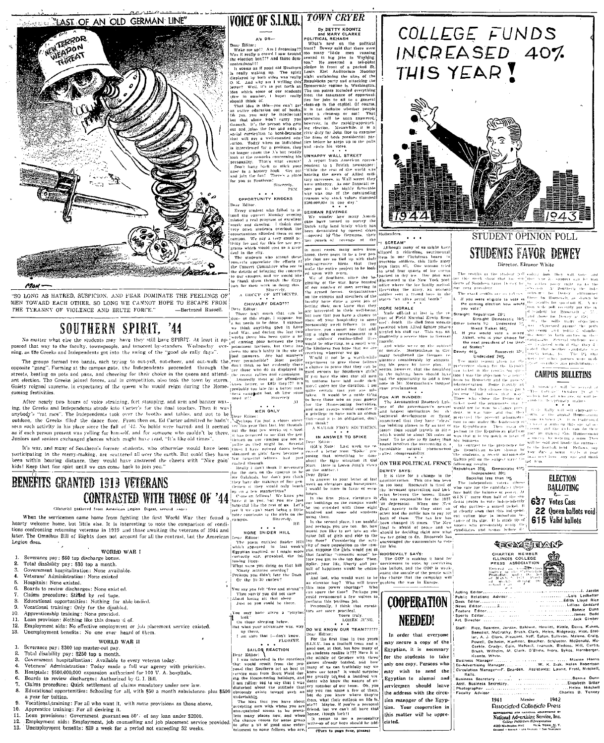## **Extra ST AN OLD GERMAN LINE**



- 
- 
- Veterans' Administration: None existed
- $\overline{5}$ Hospitals: None existed.
- G.
- 
- nospitals. Notice existent.<br>
Eonrids to review discharges: None exist ed.<br>
Claims procedure: Stifled by red tape.<br>
Educational opportunities: Nothing for able bodied.<br>
Educational training: Only for the disabited.  $\overline{\mathbf{3}}$
- 10
- Apprenticeship training: None provided.<br>Loan provision: Nothing like this dream d of.  $\overline{11}$
- $12<sup>12</sup>$
- Employment aids: No effective employment or job placement service existed. Unemployment benefits: No one ever heard of them.

### WORLD WAR II

- Severance pay: \$300 top muster-out pay.<br>Total disability pay: \$250 top a month.
- 
- Government hospitalization: Available to every veteran today.<br>Veterans' Administration: Today made a full war agency with priorities.
- 
- Hosiptals: \$500,000,000 expansion authorized for 100 V. A. hospitals.<br>Boards to review discharges: Authorized by G. I. Bill.
- 7.
- Claims procedure: Quick settlement of claims mandatory under new law.<br>Educational opportunities: Schooling for all, with \$50 a month subsistence plus \$50 a year for tuition.
- Vocational training: For all who want it, with some provisions as those above.  $10.$
- $11.$ 12.
- Formation and the state of the state of the state of the state state state of Appendice training: For all desiring it.<br>
Long provisions: Government guarantees  $60\%$  of any loan under \$2000.<br>
Employment aids: Employment, 13.

### **TOWN CRYER VOICE OF S.I.N.U.** By BETTY KOONTZ

**PULCE OF CALINEARY**<br>
By BETTY KOONTZ<br>
PRINCIPAL REVISION BY THE AND AND THE CALINEARY CONNECTION AT THE TRANSITE TO THE TRANSITE TO THE TRANSITE TO THE TRANSITE THE CALINEARY WAS INTERFERENT (REPORTED THE CALINEARY CONNE

Ninety minutes overdug?<br>Perhaps you didn't fear the Dean<br>Or the 10:30 curfew?

Fou say you felt "free and strong" row say you ren bee and soon,<br>Then surely you did not care<br>About losing nit that sleep<br>Just so you rould be there.

You may have given a "phylm<br>- hok"<br>- On th 





qialign wil

**COOPERATION** 

DO WE KNOW OUR TEAM??????

(in their services was  $\frac{1}{2}$ <br>
The Unit year advances was  $\frac{1}{2}$ <br>
The Unit year advances was  $\frac{1}{2}$ <br>
The Unit year advances was  $\frac{1}{2}$ <br>
The unit year advances was  $\frac{1}{2}$ <br>
The same field  $\frac{1}{2}$ <br>
The first In order that everyone may secure a copy of the Egyptian, it is necessary for the students to take only one copy. Persons who may wish to send the Egyptian to alumni and servicemen should leave the address with the circulion manager of the Egyptian. Your cooperation in this matter will be appre-





| Public Relations Advisor | Lois Ledbette                                                 |
|--------------------------|---------------------------------------------------------------|
| Desk Editor              | .    Edith Lloyd Ric                                          |
|                          | Lillian Goddar                                                |
| Feature Editor           | Commission of the Commission Bungalow                         |
| Sports Editor            | and the contract of the contract of the second states of Dods |
|                          |                                                               |
|                          |                                                               |
| Staff:                   | Rice, Bearden, Jordan, Baldwin, Hewlitt, Kittle, Davis, Kuhns |
| ŗ.                       | Benedict, McCrathy, Brush, Clark, Heien, Ridgeway, Hise, Stol |
|                          | . Next Enter Sultimore Medicine Crops                         |

Benedict, McCathy, Brush, Clark, Heien, Ridgeway, Histo. 8101-2014, 1916-1911<br>
lar, A. J. Clark, Pleasant, Neff, Eaton, Sullivan, Maline, Craig,<br>
Powell, Delheim, Kuelner, Boucher, McQonald, Mc<br>
Corplis, Craign, Cain, McNe

...Bonnie Dunn<br>Elizabeth Sitter Helen Mitchell<br>Charles D. Tenney

Member 1942 1941 **Associated Collegiate Press** REPRESINTED FOR ILATIONAL ADVERTISING OF

Guilege PRODUCERS REPORTIONS 42D MADISON AVE NEW YORK, N.Y.

suit of tappiness would be ensuit of the people and six two would want to be this cap of the compact that cap all all state of the compact and power shorter to the compact of the compact of the state of the compact of the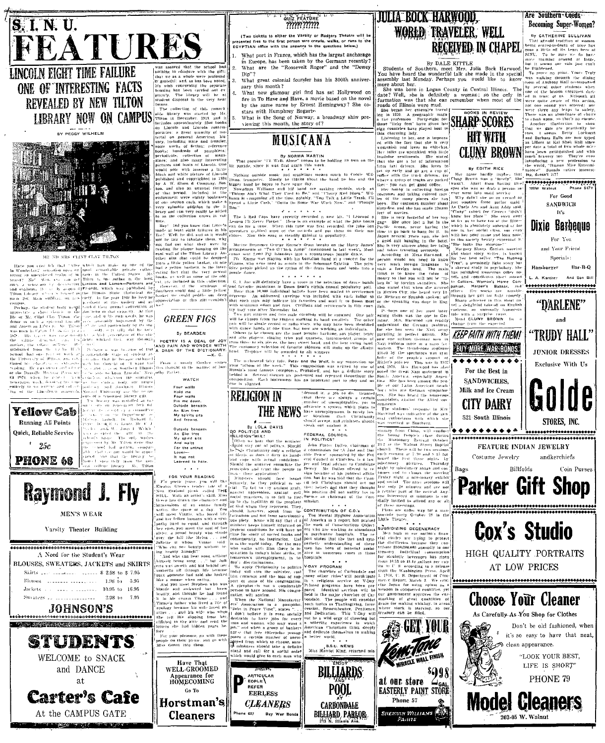

LINCOLN EIGHT TIME FAILURE ONE OF INTERESTING FACTS **REVEALED BY NEW TILTON LIBRARY NOW ON CAMPUS** 



**United**<br>author States  $u_k$  the

**Tellow Cab** Running All Points Quick, Reliable Service  $25c$ 



**MEN'S WEAR** 

Varsity Theater Building



At the CAMPUS GATE

 $\overline{\mathcal{M}}$ 

phenty.<br>student

 $work<sub>s</sub>$  of  $1$ <br>hundreds

disposed in the very neg

and frontie fiction: referenc

of pamphiets

**GREEN FIGS** 

By BEARDEN

POETRY IS A DEAL OF JOY<br>ND PAIN AND WONDER WITH<br>DASH OF THE DICTIONARY<br>ASH OF THE DICTIONARY

Gunker

WATCH Four walls<br>Hold me<br>Four walls<br>Pin me down.<br>Outside beneath<br>An Elm tree

mi min tice<br>My spirits sits<br>And frowns. Outside beneath

An Elm tree<br>My spirit sits<br>And waite And waits<br>For the untruc<br>Levi

discriminatio

When the National Manufaet

ARTICULAR

hone 637

REFER

**CLEANERS** 

in Peace Time" states

should take a defini nt call for a social order<br>cald give to each man who

in numerous cases

Penitene

BILLIARDS

POOL

CARBONDALE

BILLIARD PARLOR

B.S.U. NEWS<br>Harriet King, returned

advacate a system . Is surely<br>have unemployment is surely<br>er decalism . Hant Christi<br>should accept, and ministers sl<br>peak out unalist it. John Poster Dalles, chairs<br>a commission for A Just and

**HIRACLE WALL FINISH** 

at our store

Phone 57

SHERWIN WILLIAMS<br>PAHITS

# RECEIVED IN CHAPEL

aline sentiments. She stated<br>she got a lot of information<br>taxi drivers. She loves to early and go

Are Southern Coeds

SiNG, 10 or our control of the reality of the frightened, but it seems our vals just<br>but it seems our vals just<br>the frightened, was walking through the<br>was walking through the<br>room of Anthony Ball accou

several other students<br>of the brazen creatures

roes, I seeing Brity Lorenty<br>and Barbara Ralls are now as killers at Kai Shek Hall<br>per dare a total of I wo whole<br>have been extinguished and have been extinguished and<br>much bravery too They're<br>the world, "Human Mice Ext<br>mu

......................

For Good

**SANDWICH** It's Dixie Barbeaue For You and Your Friend Specials: Hamburger

"D'ARLENE"

and **TRUDY HALL** 

**JUNIOR DRESSES** 

Exclusive With Us

STORES, INC

Coin Purse.

 $B_2$ r. R. O

mators" Suunds rather

 $\frac{d \ln \ln x}{d \ln x}$ 

By DALE KITTLE TO BUT AND RESERVED Students of Southern, meet Mrs. Julia Bock Harwood.<br>You have heard the wonderful talk she made in the special assembly last Monday. Perhaps you would like to know

Somethy has Monday. Perhaps you would like to know assembly last Monday. Perhaps you would like to know measure the cluster with the interest of the control of the control of the control of the control of the control of t

**JULIA BOCK HARWOOD.** 

, e≓λτ∕u∍

sickets to either the Varsity or Rodgers Theatre will

What port in France, which has the largest anchorage

in Europe, has been taken by the Germans recently?

What are the "Roosevelt Roger" and the "Dewey

What great colonial founder has his 300th anniver

Sary unsulful find has set Hollywood on<br>the in To Have and Have, a movie based on the novel

by the same name by Ernest Hemingway? She co-

What is the Song of Norway, a broadway shiw<br>viewing this month, the story of?

MUSICANA

notrible

By NORMA MARTIN<br>"I'll Walk Alone" seems to be<br>it was first again this week.

Doy

hestual fairy tale. Peter and the<br>one of the week." This composi

**THE NEWS** 

**RELIGION IN** 

**P**<br>By LOLA DAVIS<br>ITICS AND

hear that the<br> $\frac{1}{2}$  or  $\frac{1}{2}$  .

**Gamous composers. Prokole#** 

Each instrument has an important

for was<br>for was and has the street of the street of the street of the street of the street of the street of the street<br>street of the street of the street of the street of the street of the street of the street of the stree

FEDERAL COUNCIL

iefs and<br>inn and CONTRIBUTION OF C.O.

IN POLITICS'

(desired it)<br>(that there number of unemployable<br>advocate a system which

 $Div''$ ?

navada since i

sary this month?

stars with Humphrey Bogart-

mmmm

**BY EDITH RICE** get a cup of with the truck

name hardly implies that<br>Brown was a "fovely". She<br>Apart from having alce t parlor maid<br>Aunt Addy s<mark>a</mark>id







SANDWICHES. Milk and Ice Cream



For the Best in





Have That<br>WELL-GROOMED

Appearance for<br>HOMECOMING

Go To

Horstman's

**Cleaners**